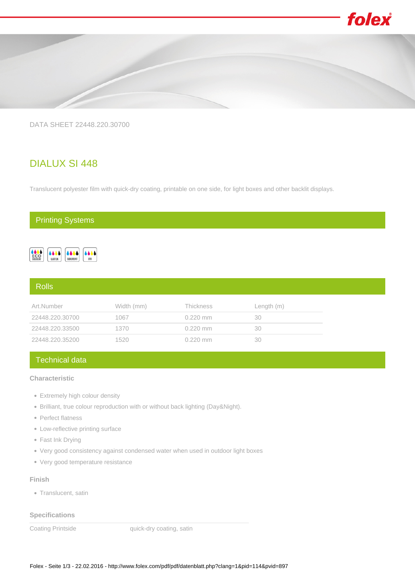

DATA SHEET 22448.220.30700

# DIALUX SI 448

Translucent polyester film with quick-dry coating, printable on one side, for light boxes and other backlit displays.

## Printing Systems



### Rolls

| Art.Number      | Width (mm) | <b>Thickness</b> | Length (m) |
|-----------------|------------|------------------|------------|
| 22448.220.30700 | 1067       | $0.220$ mm       | 30         |
| 22448.220.33500 | 1370       | $0.220$ mm       | 30         |
| 22448.220.35200 | 1520       | $0.220$ mm       | 30         |

## Technical data

## **Characteristic**

- Extremely high colour density
- Brilliant, true colour reproduction with or without back lighting (Day&Night).
- Perfect flatness
- Low-reflective printing surface
- Fast Ink Drying
- Very good consistency against condensed water when used in outdoor light boxes
- Very good temperature resistance

#### **Finish**

• Translucent, satin

**Specifications**

Coating Printside **Coating Printside** quick-dry coating, satin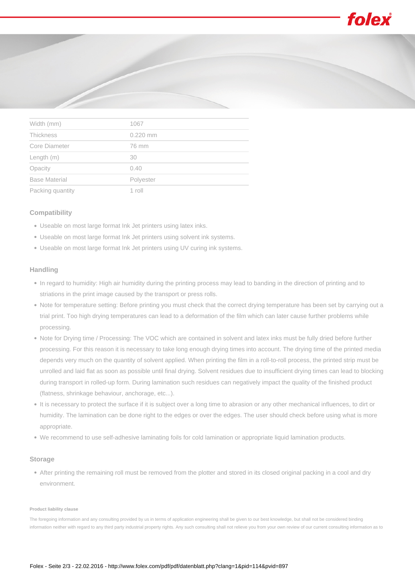



| VVIULII (IIIIIII <i>)</i> | $1 \cup \cup I$ |  |
|---------------------------|-----------------|--|
| Thickness                 | $0.220$ mm      |  |
| Core Diameter             | 76 mm           |  |
| Length (m)                | 30              |  |
| Opacity                   | 0.40            |  |
| <b>Base Material</b>      | Polyester       |  |
| Packing quantity          | 1 roll          |  |

#### **Compatibility**

- Useable on most large format Ink Jet printers using latex inks.
- Useable on most large format Ink Jet printers using solvent ink systems.
- Useable on most large format Ink Jet printers using UV curing ink systems.

#### **Handling**

- In regard to humidity: High air humidity during the printing process may lead to banding in the direction of printing and to striations in the print image caused by the transport or press rolls.
- Note for temperature setting: Before printing you must check that the correct drying temperature has been set by carrying out a trial print. Too high drying temperatures can lead to a deformation of the film which can later cause further problems while processing.
- Note for Drying time / Processing: The VOC which are contained in solvent and latex inks must be fully dried before further processing. For this reason it is necessary to take long enough drying times into account. The drying time of the printed media depends very much on the quantity of solvent applied. When printing the film in a roll-to-roll process, the printed strip must be unrolled and laid flat as soon as possible until final drying. Solvent residues due to insufficient drying times can lead to blocking during transport in rolled-up form. During lamination such residues can negatively impact the quality of the finished product (flatness, shrinkage behaviour, anchorage, etc...).
- It is necessary to protect the surface if it is subject over a long time to abrasion or any other mechanical influences, to dirt or humidity. The lamination can be done right to the edges or over the edges. The user should check before using what is more appropriate.
- We recommend to use self-adhesive laminating foils for cold lamination or appropriate liquid lamination products.

#### **Storage**

After printing the remaining roll must be removed from the plotter and stored in its closed original packing in a cool and dry environment.

#### **Product liability clause**

The foregoing information and any consulting provided by us in terms of application engineering shall be given to our best knowledge, but shall not be considered binding information neither with regard to any third party industrial property rights. Any such consulting shall not relieve you from your own review of our current consulting information as to